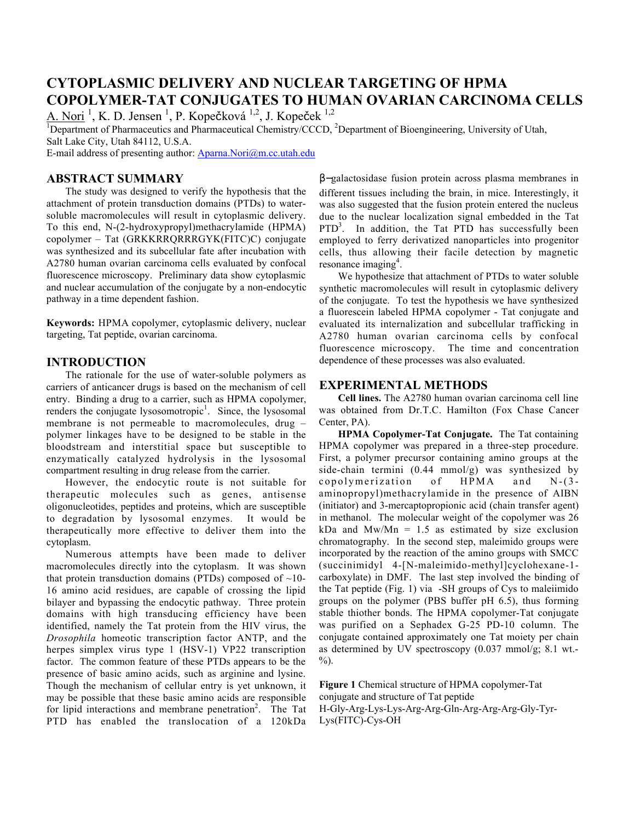# **CYTOPLASMIC DELIVERY AND NUCLEAR TARGETING OF HPMA COPOLYMER-TAT CONJUGATES TO HUMAN OVARIAN CARCINOMA CELLS**

A. Nori <sup>1</sup>, K. D. Jensen <sup>1</sup>, P. Kopečková <sup>1,2</sup>, J. Kopeček <sup>1,2</sup><br><sup>1</sup>Department of Pharmaceutics and Pharmaceutical Chemistry/CCCD. <sup>2</sup>Department of Bioengineering. University of Utah. Salt Lake City, Utah 84112, U.S.A.

E-mail address of presenting author: Aparna.Nori@m.cc.utah.edu

## **ABSTRACT SUMMARY**

The study was designed to verify the hypothesis that the attachment of protein transduction domains (PTDs) to watersoluble macromolecules will result in cytoplasmic delivery. To this end, N-(2-hydroxypropyl)methacrylamide (HPMA) copolymer – Tat (GRKKRRQRRRGYK(FITC)C) conjugate was synthesized and its subcellular fate after incubation with A2780 human ovarian carcinoma cells evaluated by confocal fluorescence microscopy. Preliminary data show cytoplasmic and nuclear accumulation of the conjugate by a non-endocytic pathway in a time dependent fashion.

**Keywords:** HPMA copolymer, cytoplasmic delivery, nuclear targeting, Tat peptide, ovarian carcinoma.

## **INTRODUCTION**

The rationale for the use of water-soluble polymers as carriers of anticancer drugs is based on the mechanism of cell entry. Binding a drug to a carrier, such as HPMA copolymer, renders the conjugate lysosomotropic<sup>1</sup>. Since, the lysosomal membrane is not permeable to macromolecules, drug – polymer linkages have to be designed to be stable in the bloodstream and interstitial space but susceptible to enzymatically catalyzed hydrolysis in the lysosomal compartment resulting in drug release from the carrier.

However, the endocytic route is not suitable for therapeutic molecules such as genes, antisense oligonucleotides, peptides and proteins, which are susceptible to degradation by lysosomal enzymes. It would be therapeutically more effective to deliver them into the cytoplasm.

Numerous attempts have been made to deliver macromolecules directly into the cytoplasm. It was shown that protein transduction domains (PTDs) composed of  $\sim$ 10-16 amino acid residues, are capable of crossing the lipid bilayer and bypassing the endocytic pathway. Three protein domains with high transducing efficiency have been identified, namely the Tat protein from the HIV virus, the *Drosophila* homeotic transcription factor ANTP, and the herpes simplex virus type 1 (HSV-1) VP22 transcription factor. The common feature of these PTDs appears to be the presence of basic amino acids, such as arginine and lysine. Though the mechanism of cellular entry is yet unknown, it may be possible that these basic amino acids are responsible for lipid interactions and membrane penetration<sup>2</sup>. The Tat PTD has enabled the translocation of a 120kDa

β−galactosidase fusion protein across plasma membranes in different tissues including the brain, in mice. Interestingly, it was also suggested that the fusion protein entered the nucleus due to the nuclear localization signal embedded in the Tat  $PTD<sup>3</sup>$ . In addition, the Tat PTD has successfully been employed to ferry derivatized nanoparticles into progenitor cells, thus allowing their facile detection by magnetic resonance imaging<sup>4</sup> .

We hypothesize that attachment of PTDs to water soluble synthetic macromolecules will result in cytoplasmic delivery of the conjugate. To test the hypothesis we have synthesized a fluorescein labeled HPMA copolymer - Tat conjugate and evaluated its internalization and subcellular trafficking in A2780 human ovarian carcinoma cells by confocal fluorescence microscopy. The time and concentration dependence of these processes was also evaluated.

#### **EXPERIMENTAL METHODS**

**Cell lines.** The A2780 human ovarian carcinoma cell line was obtained from Dr.T.C. Hamilton (Fox Chase Cancer Center, PA).

**HPMA Copolymer-Tat Conjugate.** The Tat containing HPMA copolymer was prepared in a three-step procedure. First, a polymer precursor containing amino groups at the side-chain termini (0.44 mmol/g) was synthesized by copolymerization of HPMA and N-(3 aminopropyl)methacrylamide in the presence of AIBN (initiator) and 3-mercaptopropionic acid (chain transfer agent) in methanol. The molecular weight of the copolymer was 26 kDa and  $Mw/Mn = 1.5$  as estimated by size exclusion chromatography. In the second step, maleimido groups were incorporated by the reaction of the amino groups with SMCC (succinimidyl 4-[N-maleimido-methyl]cyclohexane-1 carboxylate) in DMF. The last step involved the binding of the Tat peptide (Fig. 1) via -SH groups of Cys to maleiimido groups on the polymer (PBS buffer pH 6.5), thus forming stable thiother bonds. The HPMA copolymer-Tat conjugate was purified on a Sephadex G-25 PD-10 column. The conjugate contained approximately one Tat moiety per chain as determined by UV spectroscopy (0.037 mmol/g; 8.1 wt.- %).

**Figure 1** Chemical structure of HPMA copolymer-Tat conjugate and structure of Tat peptide H-Gly-Arg-Lys-Lys-Arg-Arg-Gln-Arg-Arg-Arg-Gly-Tyr-

Lys(FITC)-Cys-OH